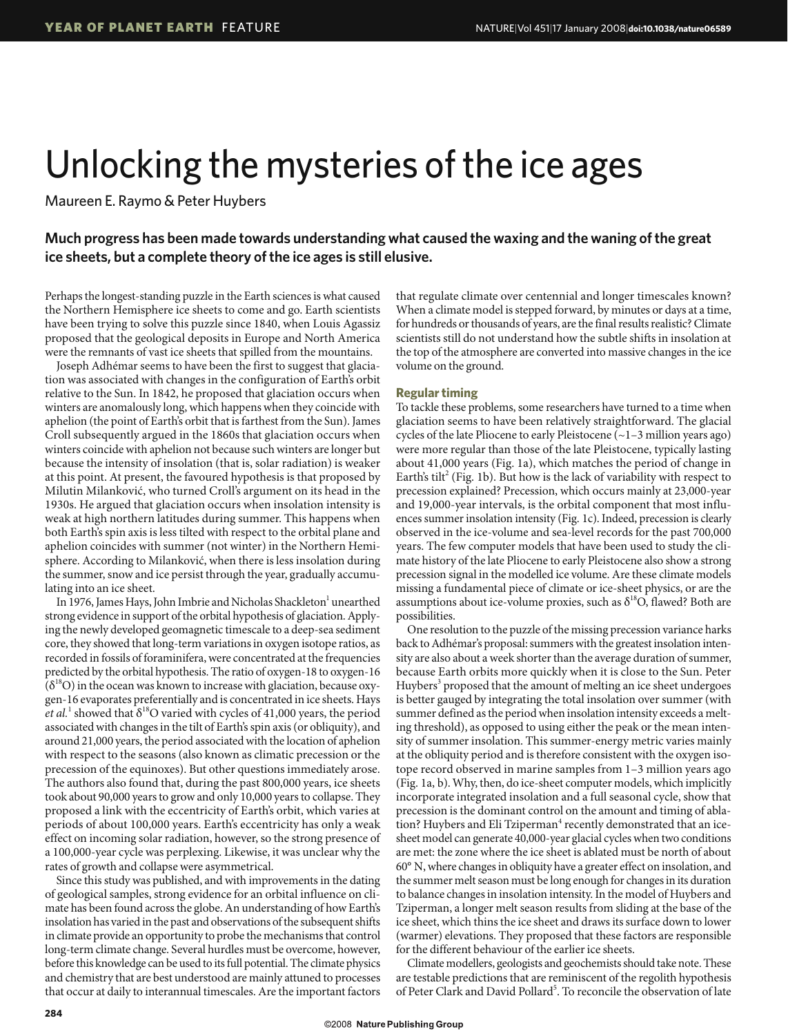## Unlocking the mysteries of the ice ages

Maureen E. Raymo & Peter Huybers

## **Much progress has been made towards understanding what caused the waxing and the waning of the great ice sheets, but a complete theory of the ice ages is still elusive.**

Perhaps the longest-standing puzzle in the Earth sciences is what caused the Northern Hemisphere ice sheets to come and go. Earth scientists have been trying to solve this puzzle since 1840, when Louis Agassiz proposed that the geological deposits in Europe and North America were the remnants of vast ice sheets that spilled from the mountains.

Joseph Adhémar seems to have been the first to suggest that glaciation was associated with changes in the configuration of Earth's orbit relative to the Sun. In 1842, he proposed that glaciation occurs when winters are anomalously long, which happens when they coincide with aphelion (the point of Earth's orbit that is farthest from the Sun). James Croll subsequently argued in the 1860s that glaciation occurs when winters coincide with aphelion not because such winters are longer but because the intensity of insolation (that is, solar radiation) is weaker at this point. At present, the favoured hypothesis is that proposed by Milutin Milanković, who turned Croll's argument on its head in the 1930s. He argued that glaciation occurs when insolation intensity is weak at high northern latitudes during summer. This happens when both Earth's spin axis is less tilted with respect to the orbital plane and aphelion coincides with summer (not winter) in the Northern Hemisphere. According to Milanković, when there is less insolation during the summer, snow and ice persist through the year, gradually accumulating into an ice sheet.

In 1976, James Hays, John Imbrie and Nicholas Shackleton<sup>1</sup> unearthed strong evidence in support of the orbital hypothesis of glaciation. Applying the newly developed geomagnetic timescale to a deep-sea sediment core, they showed that long-term variations in oxygen isotope ratios, as recorded in fossils of foraminifera, were concentrated at the frequencies predicted by the orbital hypothesis. The ratio of oxygen-18 to oxygen-16  $(\delta^{18}O)$  in the ocean was known to increase with glaciation, because oxygen-16 evaporates preferentially and is concentrated in ice sheets. Hays *et al.*<sup>1</sup> showed that  $\delta^{18}O$  varied with cycles of 41,000 years, the period associated with changes in the tilt of Earth's spin axis (or obliquity), and around 21,000 years, the period associated with the location of aphelion with respect to the seasons (also known as climatic precession or the precession of the equinoxes). But other questions immediately arose. The authors also found that, during the past 800,000 years, ice sheets took about 90,000 years to grow and only 10,000 years to collapse. They proposed a link with the eccentricity of Earth's orbit, which varies at periods of about 100,000 years. Earth's eccentricity has only a weak effect on incoming solar radiation, however, so the strong presence of a 100,000-year cycle was perplexing. Likewise, it was unclear why the rates of growth and collapse were asymmetrical.

Since this study was published, and with improvements in the dating of geological samples, strong evidence for an orbital influence on climate has been found across the globe. An understanding of how Earth's insolation has varied in the past and observations of the subsequent shifts in climate provide an opportunity to probe the mechanisms that control long-term climate change. Several hurdles must be overcome, however, before this knowledge can be used to its full potential. The climate physics and chemistry that are best understood are mainly attuned to processes that occur at daily to interannual timescales. Are the important factors that regulate climate over centennial and longer timescales known? When a climate model is stepped forward, by minutes or days at a time, for hundreds or thousands of years, are the final results realistic? Climate scientists still do not understand how the subtle shifts in insolation at the top of the atmosphere are converted into massive changes in the ice volume on the ground.

## **Regular timing**

To tackle these problems, some researchers have turned to a time when glaciation seems to have been relatively straightforward. The glacial cycles of the late Pliocene to early Pleistocene (~1–3 million years ago) were more regular than those of the late Pleistocene, typically lasting about 41,000 years (Fig. 1a), which matches the period of change in Earth's tilt<sup>2</sup> (Fig. 1b). But how is the lack of variability with respect to precession explained? Precession, which occurs mainly at 23,000-year and 19,000-year intervals, is the orbital component that most influences summer insolation intensity (Fig. 1c). Indeed, precession is clearly observed in the ice-volume and sea-level records for the past 700,000 years. The few computer models that have been used to study the climate history of the late Pliocene to early Pleistocene also show a strong precession signal in the modelled ice volume. Are these climate models missing a fundamental piece of climate or ice-sheet physics, or are the assumptions about ice-volume proxies, such as  $\delta^{18}O$ , flawed? Both are possibilities.

One resolution to the puzzle of the missing precession variance harks back to Adhémar's proposal: summers with the greatest insolation intensity are also about a week shorter than the average duration of summer, because Earth orbits more quickly when it is close to the Sun. Peter Huybers<sup>3</sup> proposed that the amount of melting an ice sheet undergoes is better gauged by integrating the total insolation over summer (with summer defined as the period when insolation intensity exceeds a melting threshold), as opposed to using either the peak or the mean intensity of summer insolation. This summer-energy metric varies mainly at the obliquity period and is therefore consistent with the oxygen isotope record observed in marine samples from 1–3 million years ago (Fig. 1a, b).Why, then, do ice-sheet computer models, which implicitly incorporate integrated insolation and a full seasonal cycle, show that precession is the dominant control on the amount and timing of ablation? Huybers and Eli Tziperman<sup>4</sup> recently demonstrated that an icesheet model can generate 40,000-year glacial cycles when two conditions are met: the zone where the ice sheet is ablated must be north of about 60° N, where changes in obliquity have a greater effect on insolation, and the summer melt season must be long enough for changes in its duration to balance changes in insolation intensity. In the model of Huybers and Tziperman, a longer melt season results from sliding at the base of the ice sheet, which thins the ice sheet and draws its surface down to lower (warmer) elevations. They proposed that these factors are responsible for the different behaviour of the earlier ice sheets.

Climate modellers, geologists and geochemists should take note. These are testable predictions that are reminiscent of the regolith hypothesis of Peter Clark and David Pollard<sup>5</sup>. To reconcile the observation of late